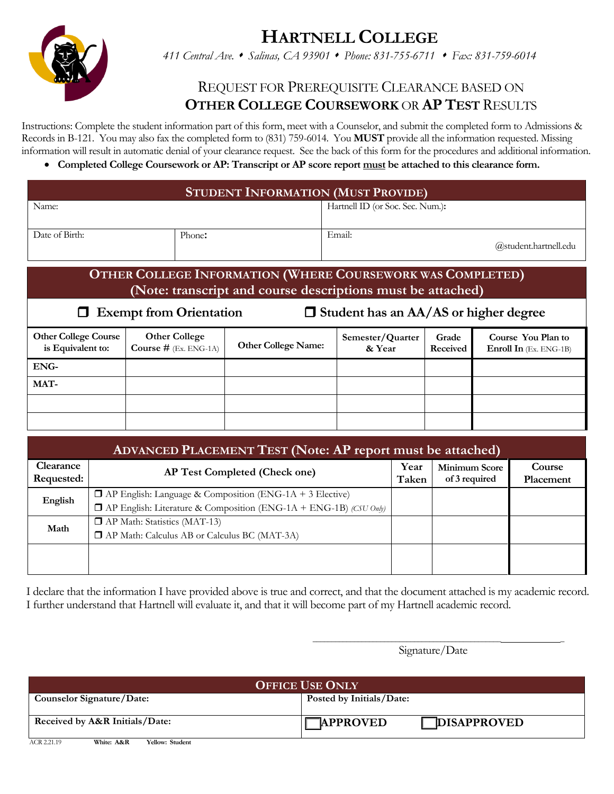**HARTNELL COLLEGE**



*411 Central Ave. Salinas, CA 93901 Phone: 831-755-6711 Fax: 831-759-6014*

## REQUEST FOR PREREQUISITE CLEARANCE BASED ON **OTHER COLLEGE COURSEWORK** OR **AP TEST** RESULTS

Instructions: Complete the student information part of this form, meet with a Counselor, and submit the completed form to Admissions & Records in B-121. You may also fax the completed form to (831) 759-6014. You **MUST** provide all the information requested. Missing information will result in automatic denial of your clearance request. See the back of this form for the procedures and additional information.

**Completed College Coursework or AP: Transcript or AP score report must be attached to this clearance form.**

| <b>STUDENT INFORMATION (MUST PROVIDE)</b>                                                                                                                                                                        |                                                        |                            |                                  |                          |                                                     |  |  |  |
|------------------------------------------------------------------------------------------------------------------------------------------------------------------------------------------------------------------|--------------------------------------------------------|----------------------------|----------------------------------|--------------------------|-----------------------------------------------------|--|--|--|
| Name:                                                                                                                                                                                                            |                                                        |                            | Hartnell ID (or Soc. Sec. Num.): |                          |                                                     |  |  |  |
| Date of Birth:<br>Phone:                                                                                                                                                                                         |                                                        |                            | Email:                           |                          | @student.hartnell.edu                               |  |  |  |
| OTHER COLLEGE INFORMATION (WHERE COURSEWORK WAS COMPLETED)<br>(Note: transcript and course descriptions must be attached)<br>$\Box$ Student has an AA/AS or higher degree<br><b>Exempt from Orientation</b><br>ப |                                                        |                            |                                  |                          |                                                     |  |  |  |
| <b>Other College Course</b><br>is Equivalent to:                                                                                                                                                                 | <b>Other College</b><br><b>Course #</b> $(Ex. ENG-1A)$ | <b>Other College Name:</b> | Semester/Quarter<br>& Year       | Grade<br><b>Received</b> | Course You Plan to<br><b>Enroll In</b> (Ex. ENG-1B) |  |  |  |
| ENG-                                                                                                                                                                                                             |                                                        |                            |                                  |                          |                                                     |  |  |  |
| MAT-                                                                                                                                                                                                             |                                                        |                            |                                  |                          |                                                     |  |  |  |
|                                                                                                                                                                                                                  |                                                        |                            |                                  |                          |                                                     |  |  |  |
|                                                                                                                                                                                                                  |                                                        |                            |                                  |                          |                                                     |  |  |  |

| <b>ADVANCED PLACEMENT TEST (Note: AP report must be attached)</b> |                                                                          |               |                                       |                     |  |  |  |
|-------------------------------------------------------------------|--------------------------------------------------------------------------|---------------|---------------------------------------|---------------------|--|--|--|
| Clearance<br>Requested:                                           | <b>AP Test Completed (Check one)</b>                                     | Year<br>Taken | <b>Minimum Score</b><br>of 3 required | Course<br>Placement |  |  |  |
| English                                                           | $\Box$ AP English: Language & Composition (ENG-1A + 3 Elective)          |               |                                       |                     |  |  |  |
|                                                                   | $\Box$ AP English: Literature & Composition (ENG-1A + ENG-1B) (CSU Only) |               |                                       |                     |  |  |  |
| Math                                                              | $\Box$ AP Math: Statistics (MAT-13)                                      |               |                                       |                     |  |  |  |
|                                                                   | <b>T</b> AP Math: Calculus AB or Calculus BC (MAT-3A)                    |               |                                       |                     |  |  |  |
|                                                                   |                                                                          |               |                                       |                     |  |  |  |
|                                                                   |                                                                          |               |                                       |                     |  |  |  |

I declare that the information I have provided above is true and correct, and that the document attached is my academic record. I further understand that Hartnell will evaluate it, and that it will become part of my Hartnell academic record.

> \_\_\_\_\_\_\_\_\_\_\_\_\_\_\_\_\_\_\_\_\_\_\_\_\_\_\_\_\_\_\_\_\_\_\_\_\_\_\_\_\_\_\_\_\_\_\_\_\_\_ \_ Signature/Date

| <b>OFFICE USE ONLY</b>                       |                                       |  |  |  |  |
|----------------------------------------------|---------------------------------------|--|--|--|--|
| Counselor Signature/Date:                    | Posted by Initials/Date:              |  |  |  |  |
| Received by A&R Initials/Date:               | <b>DISAPPROVED</b><br><b>APPROVED</b> |  |  |  |  |
| ACR 2.21.19<br>White: A&R<br>Yellow: Student |                                       |  |  |  |  |